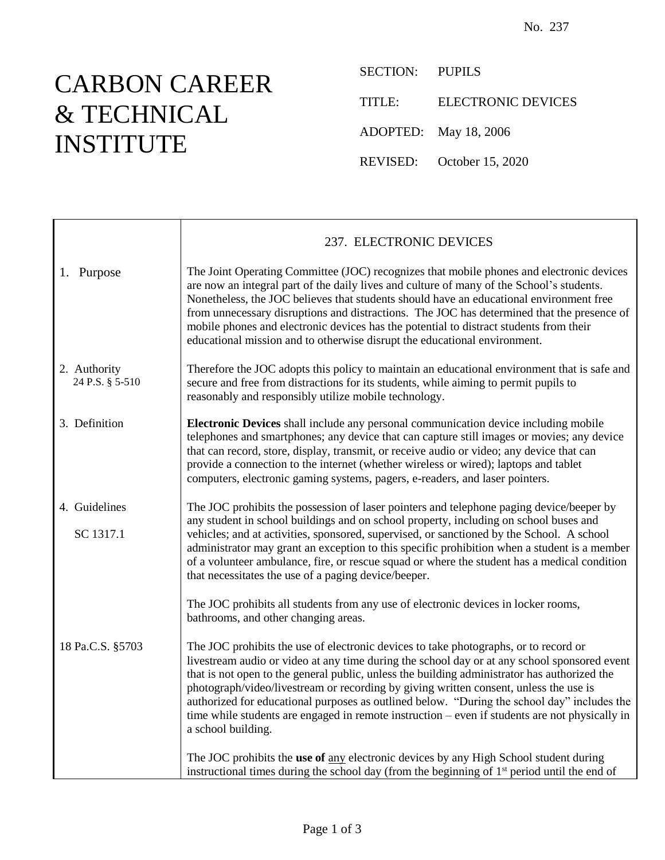## CARBON CAREER & TECHNICAL INSTITUTE

SECTION: PUPILS TITLE: ELECTRONIC DEVICES ADOPTED: May 18, 2006 REVISED: October 15, 2020

|                                 | 237. ELECTRONIC DEVICES                                                                                                                                                                                                                                                                                                                                                                                                                                                                                                                                                                              |
|---------------------------------|------------------------------------------------------------------------------------------------------------------------------------------------------------------------------------------------------------------------------------------------------------------------------------------------------------------------------------------------------------------------------------------------------------------------------------------------------------------------------------------------------------------------------------------------------------------------------------------------------|
| 1. Purpose                      | The Joint Operating Committee (JOC) recognizes that mobile phones and electronic devices<br>are now an integral part of the daily lives and culture of many of the School's students.<br>Nonetheless, the JOC believes that students should have an educational environment free<br>from unnecessary disruptions and distractions. The JOC has determined that the presence of<br>mobile phones and electronic devices has the potential to distract students from their<br>educational mission and to otherwise disrupt the educational environment.                                                |
| 2. Authority<br>24 P.S. § 5-510 | Therefore the JOC adopts this policy to maintain an educational environment that is safe and<br>secure and free from distractions for its students, while aiming to permit pupils to<br>reasonably and responsibly utilize mobile technology.                                                                                                                                                                                                                                                                                                                                                        |
| 3. Definition                   | Electronic Devices shall include any personal communication device including mobile<br>telephones and smartphones; any device that can capture still images or movies; any device<br>that can record, store, display, transmit, or receive audio or video; any device that can<br>provide a connection to the internet (whether wireless or wired); laptops and tablet<br>computers, electronic gaming systems, pagers, e-readers, and laser pointers.                                                                                                                                               |
| 4. Guidelines<br>SC 1317.1      | The JOC prohibits the possession of laser pointers and telephone paging device/beeper by<br>any student in school buildings and on school property, including on school buses and<br>vehicles; and at activities, sponsored, supervised, or sanctioned by the School. A school<br>administrator may grant an exception to this specific prohibition when a student is a member<br>of a volunteer ambulance, fire, or rescue squad or where the student has a medical condition<br>that necessitates the use of a paging device/beeper.                                                               |
|                                 | The JOC prohibits all students from any use of electronic devices in locker rooms,<br>bathrooms, and other changing areas.                                                                                                                                                                                                                                                                                                                                                                                                                                                                           |
| 18 Pa.C.S. §5703                | The JOC prohibits the use of electronic devices to take photographs, or to record or<br>livestream audio or video at any time during the school day or at any school sponsored event<br>that is not open to the general public, unless the building administrator has authorized the<br>photograph/video/livestream or recording by giving written consent, unless the use is<br>authorized for educational purposes as outlined below. "During the school day" includes the<br>time while students are engaged in remote instruction – even if students are not physically in<br>a school building. |
|                                 | The JOC prohibits the use of any electronic devices by any High School student during<br>instructional times during the school day (from the beginning of 1 <sup>st</sup> period until the end of                                                                                                                                                                                                                                                                                                                                                                                                    |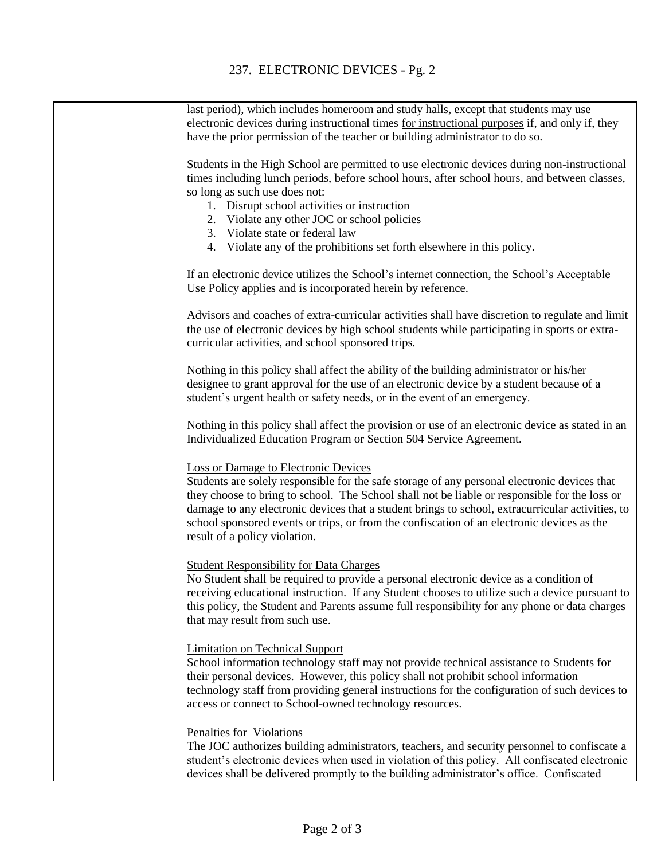| last period), which includes homeroom and study halls, except that students may use<br>electronic devices during instructional times for instructional purposes if, and only if, they                                                                                                                                                                                                                                                                                           |
|---------------------------------------------------------------------------------------------------------------------------------------------------------------------------------------------------------------------------------------------------------------------------------------------------------------------------------------------------------------------------------------------------------------------------------------------------------------------------------|
| have the prior permission of the teacher or building administrator to do so.                                                                                                                                                                                                                                                                                                                                                                                                    |
| Students in the High School are permitted to use electronic devices during non-instructional<br>times including lunch periods, before school hours, after school hours, and between classes,<br>so long as such use does not:                                                                                                                                                                                                                                                   |
| 1. Disrupt school activities or instruction                                                                                                                                                                                                                                                                                                                                                                                                                                     |
| 2. Violate any other JOC or school policies                                                                                                                                                                                                                                                                                                                                                                                                                                     |
| 3. Violate state or federal law                                                                                                                                                                                                                                                                                                                                                                                                                                                 |
| 4. Violate any of the prohibitions set forth elsewhere in this policy.                                                                                                                                                                                                                                                                                                                                                                                                          |
|                                                                                                                                                                                                                                                                                                                                                                                                                                                                                 |
| If an electronic device utilizes the School's internet connection, the School's Acceptable<br>Use Policy applies and is incorporated herein by reference.                                                                                                                                                                                                                                                                                                                       |
| Advisors and coaches of extra-curricular activities shall have discretion to regulate and limit<br>the use of electronic devices by high school students while participating in sports or extra-                                                                                                                                                                                                                                                                                |
| curricular activities, and school sponsored trips.                                                                                                                                                                                                                                                                                                                                                                                                                              |
| Nothing in this policy shall affect the ability of the building administrator or his/her<br>designee to grant approval for the use of an electronic device by a student because of a<br>student's urgent health or safety needs, or in the event of an emergency.                                                                                                                                                                                                               |
| Nothing in this policy shall affect the provision or use of an electronic device as stated in an<br>Individualized Education Program or Section 504 Service Agreement.                                                                                                                                                                                                                                                                                                          |
| <b>Loss or Damage to Electronic Devices</b><br>Students are solely responsible for the safe storage of any personal electronic devices that<br>they choose to bring to school. The School shall not be liable or responsible for the loss or<br>damage to any electronic devices that a student brings to school, extracurricular activities, to<br>school sponsored events or trips, or from the confiscation of an electronic devices as the<br>result of a policy violation. |
| <b>Student Responsibility for Data Charges</b><br>No Student shall be required to provide a personal electronic device as a condition of<br>receiving educational instruction. If any Student chooses to utilize such a device pursuant to<br>this policy, the Student and Parents assume full responsibility for any phone or data charges<br>that may result from such use.                                                                                                   |
| <b>Limitation on Technical Support</b><br>School information technology staff may not provide technical assistance to Students for<br>their personal devices. However, this policy shall not prohibit school information<br>technology staff from providing general instructions for the configuration of such devices to<br>access or connect to School-owned technology resources.                                                                                            |
| Penalties for Violations<br>The JOC authorizes building administrators, teachers, and security personnel to confiscate a<br>student's electronic devices when used in violation of this policy. All confiscated electronic<br>devices shall be delivered promptly to the building administrator's office. Confiscated                                                                                                                                                           |